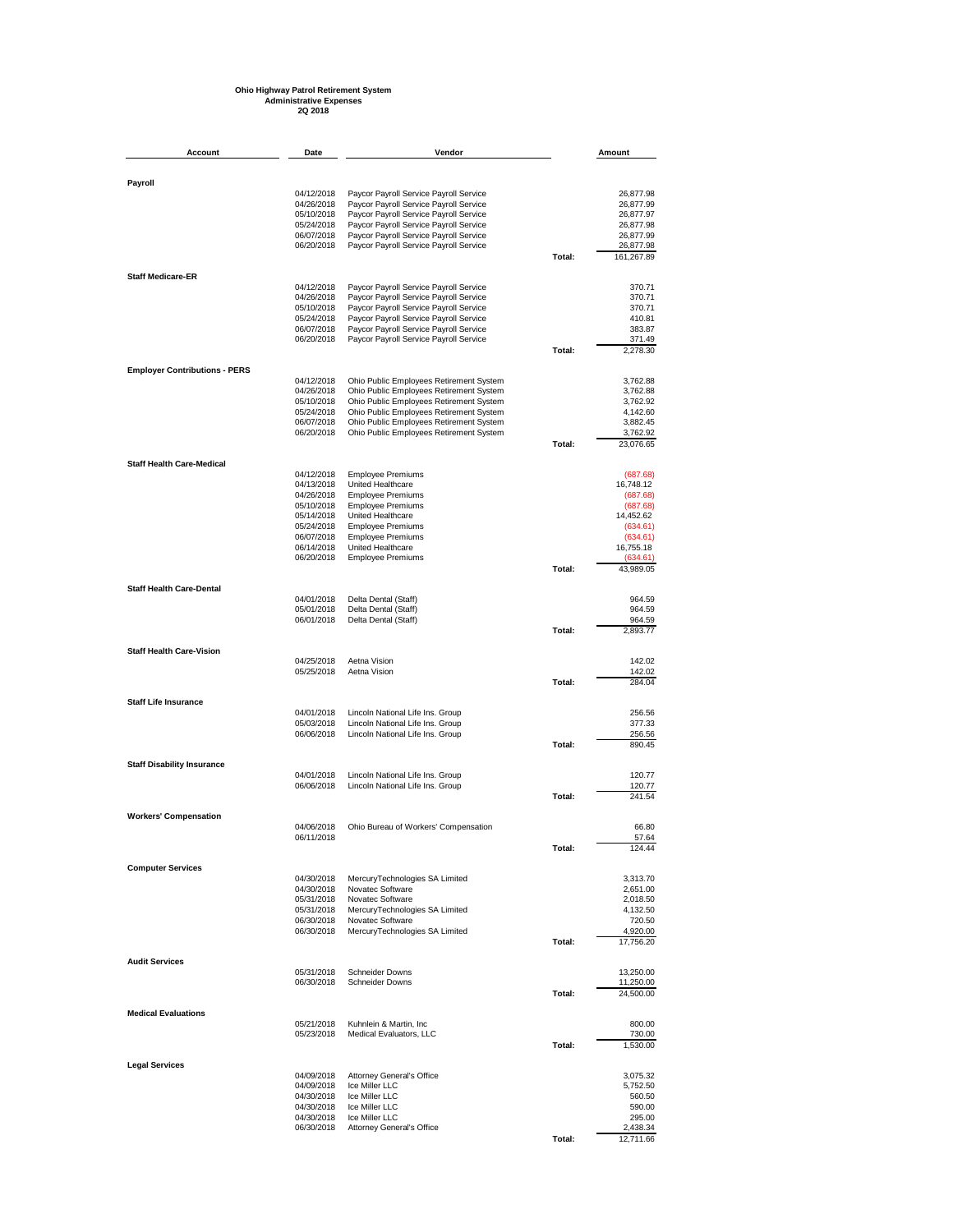## **Ohio Highway Patrol Retirement System Administrative Expenses 2Q 2018**

| Account                              | Date                     | Vendor                                                                             |        | Amount                  |
|--------------------------------------|--------------------------|------------------------------------------------------------------------------------|--------|-------------------------|
|                                      |                          |                                                                                    |        |                         |
| Payroll                              |                          |                                                                                    |        |                         |
|                                      | 04/12/2018<br>04/26/2018 | Paycor Payroll Service Payroll Service<br>Paycor Payroll Service Payroll Service   |        | 26,877.98<br>26,877.99  |
|                                      | 05/10/2018               | Paycor Payroll Service Payroll Service                                             |        | 26,877.97               |
|                                      | 05/24/2018               | Paycor Payroll Service Payroll Service                                             |        | 26,877.98               |
|                                      | 06/07/2018               | Paycor Payroll Service Payroll Service                                             |        | 26,877.99               |
|                                      | 06/20/2018               | Paycor Payroll Service Payroll Service                                             | Total: | 26,877.98<br>161,267.89 |
|                                      |                          |                                                                                    |        |                         |
| <b>Staff Medicare-ER</b>             | 04/12/2018               | Paycor Payroll Service Payroll Service                                             |        | 370.71                  |
|                                      | 04/26/2018               | Paycor Payroll Service Payroll Service                                             |        | 370.71                  |
|                                      | 05/10/2018               | Paycor Payroll Service Payroll Service                                             |        | 370.71                  |
|                                      | 05/24/2018<br>06/07/2018 | Paycor Payroll Service Payroll Service<br>Paycor Payroll Service Payroll Service   |        | 410.81<br>383.87        |
|                                      | 06/20/2018               | Paycor Payroll Service Payroll Service                                             |        | 371.49                  |
|                                      |                          |                                                                                    | Total: | 2,278.30                |
| <b>Employer Contributions - PERS</b> | 04/12/2018               |                                                                                    |        | 3,762.88                |
|                                      | 04/26/2018               | Ohio Public Employees Retirement System<br>Ohio Public Employees Retirement System |        | 3,762.88                |
|                                      | 05/10/2018               | Ohio Public Employees Retirement System                                            |        | 3,762.92                |
|                                      | 05/24/2018               | Ohio Public Employees Retirement System                                            |        | 4,142.60                |
|                                      | 06/07/2018<br>06/20/2018 | Ohio Public Employees Retirement System<br>Ohio Public Employees Retirement System |        | 3,882.45<br>3,762.92    |
|                                      |                          |                                                                                    | Total: | 23,076.65               |
| <b>Staff Health Care-Medical</b>     |                          |                                                                                    |        |                         |
|                                      | 04/12/2018               | <b>Employee Premiums</b>                                                           |        | (687.68)                |
|                                      | 04/13/2018               | United Healthcare                                                                  |        | 16,748.12               |
|                                      | 04/26/2018<br>05/10/2018 | <b>Employee Premiums</b><br><b>Employee Premiums</b>                               |        | (687.68)<br>(687.68)    |
|                                      | 05/14/2018               | United Healthcare                                                                  |        | 14,452.62               |
|                                      | 05/24/2018               | <b>Employee Premiums</b>                                                           |        | (634.61)                |
|                                      | 06/07/2018               | <b>Employee Premiums</b>                                                           |        | (634.61)                |
|                                      | 06/14/2018<br>06/20/2018 | United Healthcare<br><b>Employee Premiums</b>                                      |        | 16,755.18<br>(634.61)   |
|                                      |                          |                                                                                    | Total: | 43,989.05               |
| <b>Staff Health Care-Dental</b>      |                          |                                                                                    |        |                         |
|                                      | 04/01/2018               | Delta Dental (Staff)                                                               |        | 964.59                  |
|                                      | 05/01/2018<br>06/01/2018 | Delta Dental (Staff)                                                               |        | 964.59<br>964.59        |
|                                      |                          | Delta Dental (Staff)                                                               | Total: | 2,893.77                |
| <b>Staff Health Care-Vision</b>      |                          |                                                                                    |        |                         |
|                                      | 04/25/2018               | Aetna Vision                                                                       |        | 142.02                  |
|                                      | 05/25/2018               | Aetna Vision                                                                       | Total: | 142.02<br>284.04        |
|                                      |                          |                                                                                    |        |                         |
| <b>Staff Life Insurance</b>          | 04/01/2018               | Lincoln National Life Ins. Group                                                   |        | 256.56                  |
|                                      | 05/03/2018               | Lincoln National Life Ins. Group                                                   |        | 377.33                  |
|                                      | 06/06/2018               | Lincoln National Life Ins. Group                                                   |        | 256.56                  |
|                                      |                          |                                                                                    | Total: | 890.45                  |
| <b>Staff Disability Insurance</b>    |                          |                                                                                    |        |                         |
|                                      | 04/01/2018<br>06/06/2018 | Lincoln National Life Ins. Group<br>Lincoln National Life Ins. Group               |        | 120.77<br>120.77        |
|                                      |                          |                                                                                    | Total: | 241.54                  |
| <b>Workers' Compensation</b>         |                          |                                                                                    |        |                         |
|                                      | 04/06/2018               | Ohio Bureau of Workers' Compensation                                               |        | 66.80                   |
|                                      | 06/11/2018               |                                                                                    | Total: | 57.64<br>124.44         |
|                                      |                          |                                                                                    |        |                         |
| <b>Computer Services</b>             | 04/30/2018               | MercuryTechnologies SA Limited                                                     |        | 3,313.70                |
|                                      | 04/30/2018               | Novatec Software                                                                   |        | 2,651.00                |
|                                      | 05/31/2018               | Novatec Software                                                                   |        | 2,018.50                |
|                                      | 05/31/2018               | MercuryTechnologies SA Limited                                                     |        | 4,132.50                |
|                                      | 06/30/2018<br>06/30/2018 | Novatec Software<br>MercuryTechnologies SA Limited                                 |        | 720.50<br>4,920.00      |
|                                      |                          |                                                                                    | Total: | 17,756.20               |
| <b>Audit Services</b>                |                          |                                                                                    |        |                         |
|                                      | 05/31/2018               | <b>Schneider Downs</b>                                                             |        | 13,250.00               |
|                                      | 06/30/2018               | <b>Schneider Downs</b>                                                             | Total: | 11,250.00<br>24,500.00  |
|                                      |                          |                                                                                    |        |                         |
| <b>Medical Evaluations</b>           | 05/21/2018               | Kuhnlein & Martin, Inc.                                                            |        | 800.00                  |
|                                      | 05/23/2018               | Medical Evaluators, LLC                                                            |        | 730.00                  |
|                                      |                          |                                                                                    | Total: | 1,530.00                |
| <b>Legal Services</b>                |                          |                                                                                    |        |                         |
|                                      | 04/09/2018               | Attorney General's Office                                                          |        | 3,075.32                |
|                                      | 04/09/2018<br>04/30/2018 | Ice Miller LLC<br>Ice Miller LLC                                                   |        | 5,752.50<br>560.50      |
|                                      | 04/30/2018               | Ice Miller LLC                                                                     |        | 590.00                  |
|                                      | 04/30/2018               | Ice Miller LLC                                                                     |        | 295.00                  |
|                                      | 06/30/2018               | Attorney General's Office                                                          | Total: | 2,438.34<br>12,711.66   |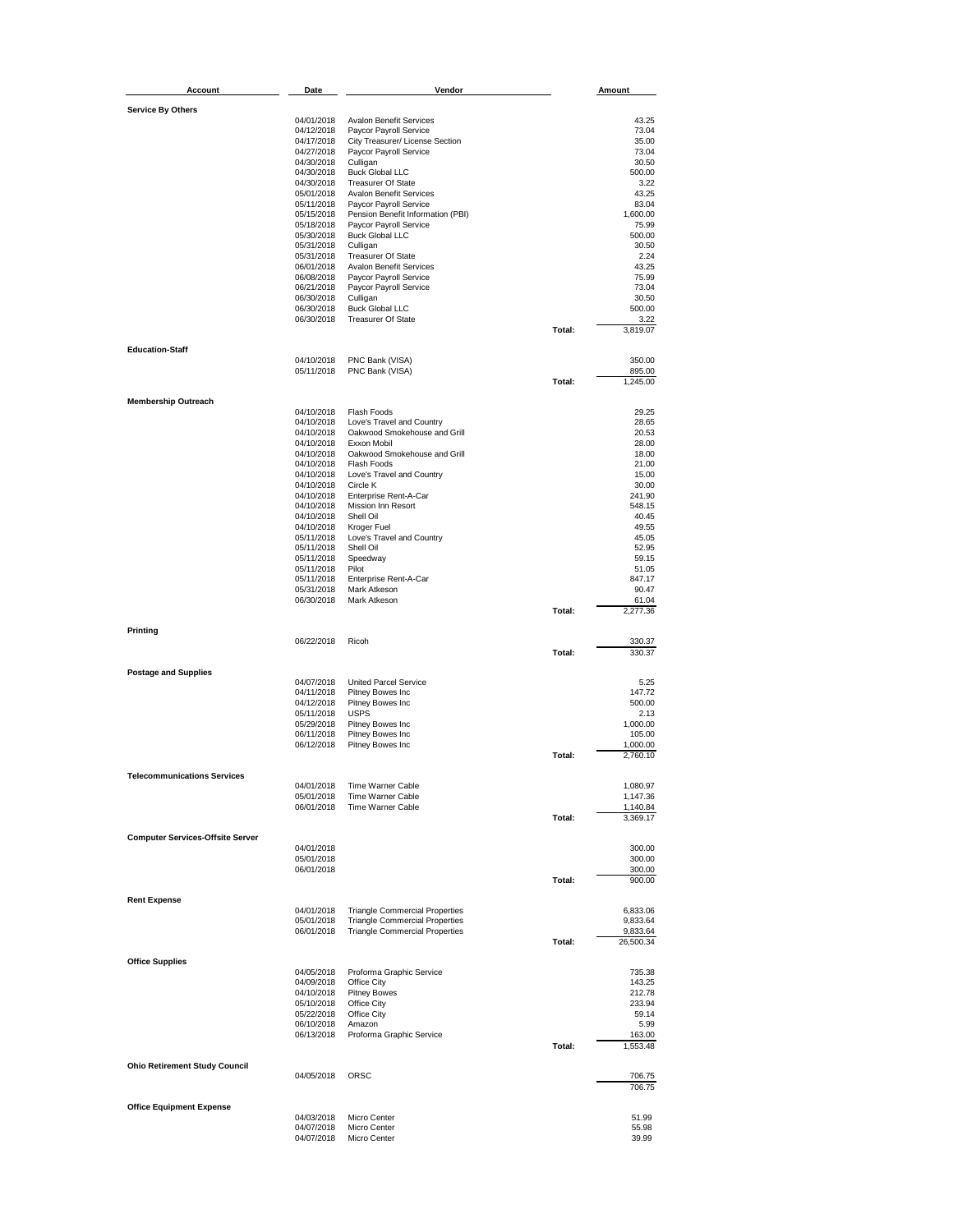| Account                                 | Date                     | Vendor                                                                         |        | <b>Amount</b>        |
|-----------------------------------------|--------------------------|--------------------------------------------------------------------------------|--------|----------------------|
| <b>Service By Others</b>                |                          |                                                                                |        |                      |
|                                         | 04/01/2018               | <b>Avalon Benefit Services</b>                                                 |        | 43.25                |
|                                         | 04/12/2018               | Paycor Payroll Service                                                         |        | 73.04                |
|                                         | 04/17/2018<br>04/27/2018 | City Treasurer/ License Section                                                |        | 35.00<br>73.04       |
|                                         | 04/30/2018               | Paycor Payroll Service<br>Culligan                                             |        | 30.50                |
|                                         | 04/30/2018               | <b>Buck Global LLC</b>                                                         |        | 500.00               |
|                                         | 04/30/2018               | <b>Treasurer Of State</b>                                                      |        | 3.22                 |
|                                         | 05/01/2018<br>05/11/2018 | Avalon Benefit Services<br>Paycor Payroll Service                              |        | 43.25<br>83.04       |
|                                         | 05/15/2018               | Pension Benefit Information (PBI)                                              |        | 1,600.00             |
|                                         | 05/18/2018               | Paycor Payroll Service                                                         |        | 75.99                |
|                                         | 05/30/2018               | <b>Buck Global LLC</b><br>Culligan                                             |        | 500.00<br>30.50      |
|                                         | 05/31/2018<br>05/31/2018 | <b>Treasurer Of State</b>                                                      |        | 2.24                 |
|                                         | 06/01/2018               | Avalon Benefit Services                                                        |        | 43.25                |
|                                         | 06/08/2018               | Paycor Payroll Service                                                         |        | 75.99                |
|                                         | 06/21/2018<br>06/30/2018 | Paycor Payroll Service<br>Culligan                                             |        | 73.04<br>30.50       |
|                                         | 06/30/2018               | <b>Buck Global LLC</b>                                                         |        | 500.00               |
|                                         | 06/30/2018               | <b>Treasurer Of State</b>                                                      |        | 3.22                 |
|                                         |                          |                                                                                | Total: | 3,819.07             |
| <b>Education-Staff</b>                  |                          |                                                                                |        |                      |
|                                         | 04/10/2018<br>05/11/2018 | PNC Bank (VISA)                                                                |        | 350.00<br>895.00     |
|                                         |                          | PNC Bank (VISA)                                                                | Total: | 1,245.00             |
|                                         |                          |                                                                                |        |                      |
| <b>Membership Outreach</b>              | 04/10/2018               | Flash Foods                                                                    |        | 29.25                |
|                                         | 04/10/2018               | Love's Travel and Country                                                      |        | 28.65                |
|                                         | 04/10/2018               | Oakwood Smokehouse and Grill                                                   |        | 20.53                |
|                                         | 04/10/2018               | Exxon Mobil<br>Oakwood Smokehouse and Grill                                    |        | 28.00<br>18.00       |
|                                         | 04/10/2018<br>04/10/2018 | Flash Foods                                                                    |        | 21.00                |
|                                         | 04/10/2018               | Love's Travel and Country                                                      |        | 15.00                |
|                                         | 04/10/2018               | Circle K                                                                       |        | 30.00                |
|                                         | 04/10/2018<br>04/10/2018 | Enterprise Rent-A-Car<br>Mission Inn Resort                                    |        | 241.90<br>548.15     |
|                                         | 04/10/2018               | Shell Oil                                                                      |        | 40.45                |
|                                         | 04/10/2018               | Kroger Fuel                                                                    |        | 49.55                |
|                                         | 05/11/2018<br>05/11/2018 | Love's Travel and Country<br>Shell Oil                                         |        | 45.05<br>52.95       |
|                                         | 05/11/2018               | Speedway                                                                       |        | 59.15                |
|                                         | 05/11/2018               | Pilot                                                                          |        | 51.05                |
|                                         | 05/11/2018<br>05/31/2018 | Enterprise Rent-A-Car<br>Mark Atkeson                                          |        | 847.17<br>90.47      |
|                                         | 06/30/2018               | Mark Atkeson                                                                   |        | 61.04                |
|                                         |                          |                                                                                | Total: | 2,277.36             |
| Printing                                |                          |                                                                                |        |                      |
|                                         | 06/22/2018               | Ricoh                                                                          | Total: | 330.37<br>330.37     |
|                                         |                          |                                                                                |        |                      |
| <b>Postage and Supplies</b>             |                          |                                                                                |        |                      |
|                                         | 04/07/2018<br>04/11/2018 | <b>United Parcel Service</b><br>Pitney Bowes Inc                               |        | 5.25<br>147.72       |
|                                         | 04/12/2018               | Pitney Bowes Inc                                                               |        | 500.00               |
|                                         | 05/11/2018               | <b>USPS</b>                                                                    |        | 2.13                 |
|                                         | 05/29/2018<br>06/11/2018 | Pitney Bowes Inc<br>Pitney Bowes Inc                                           |        | 1,000.00<br>105.00   |
|                                         | 06/12/2018               | Pitney Bowes Inc                                                               |        | 1,000.00             |
|                                         |                          |                                                                                | Total: | 2,760.10             |
| <b>Telecommunications Services</b>      |                          |                                                                                |        |                      |
|                                         | 04/01/2018               | Time Warner Cable                                                              |        | 1,080.97             |
|                                         | 05/01/2018               | Time Warner Cable                                                              |        | 1,147.36             |
|                                         | 06/01/2018               | Time Warner Cable                                                              | Total: | 1,140.84<br>3,369.17 |
|                                         |                          |                                                                                |        |                      |
| <b>Computer Services-Offsite Server</b> | 04/01/2018               |                                                                                |        | 300.00               |
|                                         | 05/01/2018               |                                                                                |        | 300.00               |
|                                         | 06/01/2018               |                                                                                |        | 300.00               |
|                                         |                          |                                                                                | Total: | 900.00               |
| <b>Rent Expense</b>                     |                          |                                                                                |        |                      |
|                                         | 04/01/2018<br>05/01/2018 | <b>Triangle Commercial Properties</b><br><b>Triangle Commercial Properties</b> |        | 6,833.06<br>9,833.64 |
|                                         | 06/01/2018               | <b>Triangle Commercial Properties</b>                                          |        | 9,833.64             |
|                                         |                          |                                                                                | Total: | 26,500.34            |
| <b>Office Supplies</b>                  |                          |                                                                                |        |                      |
|                                         | 04/05/2018               | Proforma Graphic Service                                                       |        | 735.38               |
|                                         | 04/09/2018               | Office City                                                                    |        | 143.25               |
|                                         | 04/10/2018<br>05/10/2018 | <b>Pitney Bowes</b><br>Office City                                             |        | 212.78<br>233.94     |
|                                         | 05/22/2018               | Office City                                                                    |        | 59.14                |
|                                         | 06/10/2018               | Amazon                                                                         |        | 5.99                 |
|                                         | 06/13/2018               | Proforma Graphic Service                                                       | Total: | 163.00<br>1,553.48   |
|                                         |                          |                                                                                |        |                      |
| <b>Ohio Retirement Study Council</b>    | 04/05/2018               | ORSC                                                                           |        | 706.75               |
|                                         |                          |                                                                                |        | 706.75               |
| <b>Office Equipment Expense</b>         |                          |                                                                                |        |                      |
|                                         | 04/03/2018<br>04/07/2018 | Micro Center<br>Micro Center                                                   |        | 51.99<br>55.98       |
|                                         | 04/07/2018               | Micro Center                                                                   |        | 39.99                |